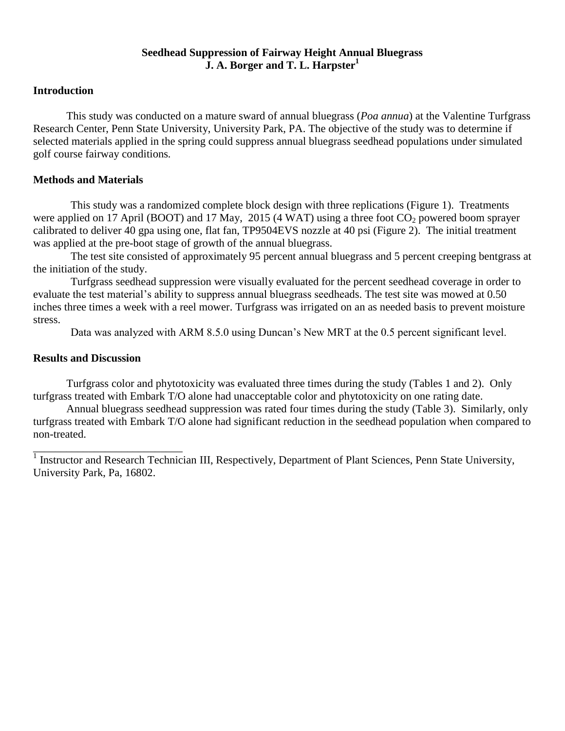## **Seedhead Suppression of Fairway Height Annual Bluegrass J. A. Borger and T. L. Harpster<sup>1</sup>**

## **Introduction**

This study was conducted on a mature sward of annual bluegrass (*Poa annua*) at the Valentine Turfgrass Research Center, Penn State University, University Park, PA. The objective of the study was to determine if selected materials applied in the spring could suppress annual bluegrass seedhead populations under simulated golf course fairway conditions*.*

## **Methods and Materials**

This study was a randomized complete block design with three replications (Figure 1). Treatments were applied on 17 April (BOOT) and 17 May, 2015 (4 WAT) using a three foot  $CO_2$  powered boom sprayer calibrated to deliver 40 gpa using one, flat fan, TP9504EVS nozzle at 40 psi (Figure 2). The initial treatment was applied at the pre-boot stage of growth of the annual bluegrass.

The test site consisted of approximately 95 percent annual bluegrass and 5 percent creeping bentgrass at the initiation of the study.

Turfgrass seedhead suppression were visually evaluated for the percent seedhead coverage in order to evaluate the test material's ability to suppress annual bluegrass seedheads. The test site was mowed at 0.50 inches three times a week with a reel mower. Turfgrass was irrigated on an as needed basis to prevent moisture stress.

Data was analyzed with ARM 8.5.0 using Duncan's New MRT at the 0.5 percent significant level.

## **Results and Discussion**

Turfgrass color and phytotoxicity was evaluated three times during the study (Tables 1 and 2). Only turfgrass treated with Embark T/O alone had unacceptable color and phytotoxicity on one rating date.

Annual bluegrass seedhead suppression was rated four times during the study (Table 3). Similarly, only turfgrass treated with Embark T/O alone had significant reduction in the seedhead population when compared to non-treated.

<sup>1</sup> Instructor and Research Technician III, Respectively, Department of Plant Sciences, Penn State University, University Park, Pa, 16802.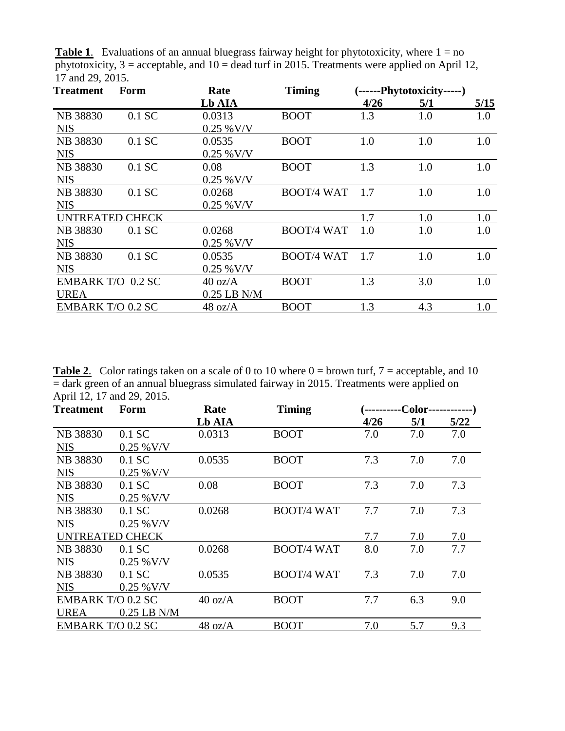**Table 1.** Evaluations of an annual bluegrass fairway height for phytotoxicity, where  $1 = no$ phytotoxicity,  $3 =$  acceptable, and  $10 =$  dead turf in 2015. Treatments were applied on April 12, 17 and 29, 2015.

| Form                     | Rate              | <b>Timing</b>     | (------Phytotoxicity-----) |                   |      |
|--------------------------|-------------------|-------------------|----------------------------|-------------------|------|
|                          | Lb AIA            |                   | 4/26                       | 5/1               | 5/15 |
| $0.1$ SC                 | 0.0313            | <b>BOOT</b>       | 1.3                        | 1.0               | 1.0  |
|                          | $0.25\%$ V/V      |                   |                            |                   |      |
| $0.1$ SC                 | 0.0535            | <b>BOOT</b>       | 1.0                        | 1.0               | 1.0  |
|                          | $0.25\ \%$ V/V    |                   |                            |                   |      |
| $0.1$ SC                 | 0.08              | <b>BOOT</b>       | 1.3                        | 1.0               | 1.0  |
|                          | $0.25\%$ V/V      |                   |                            |                   |      |
| $0.1$ SC                 | 0.0268            |                   | 1.7                        | 1.0               | 1.0  |
|                          | $0.25 %$ V/V      |                   |                            |                   |      |
| <b>UNTREATED CHECK</b>   |                   |                   | 1.7                        | 1.0               | 1.0  |
| $0.1$ SC                 | 0.0268            | <b>BOOT/4 WAT</b> | 1.0                        | 1.0               | 1.0  |
|                          | $0.25\ \%$ V/V    |                   |                            |                   |      |
| $0.1$ SC                 | 0.0535            | <b>BOOT/4 WAT</b> | 1.7                        | 1.0               | 1.0  |
|                          | $0.25\%$ V/V      |                   |                            |                   |      |
| EMBARK T/O 0.2 SC        | $40 \text{ oz/A}$ | <b>BOOT</b>       | 1.3                        | 3.0               | 1.0  |
|                          | $0.25$ LB N/M     |                   |                            |                   |      |
| <b>EMBARK T/O 0.2 SC</b> | 48 oz/A           | <b>BOOT</b>       | 1.3                        | 4.3               | 1.0  |
|                          |                   |                   |                            | <b>BOOT/4 WAT</b> |      |

**Table 2.** Color ratings taken on a scale of 0 to 10 where  $0 =$  brown turf,  $7 =$  acceptable, and 10  $=$  dark green of an annual bluegrass simulated fairway in 2015. Treatments were applied on April 12, 17 and 29, 2015.

| <b>Treatment</b>         | Form          | Rate              | <b>Timing</b>     | -Color- |     |      |
|--------------------------|---------------|-------------------|-------------------|---------|-----|------|
|                          |               | Lb AIA            |                   | 4/26    | 5/1 | 5/22 |
| NB 38830                 | $0.1$ SC      | 0.0313            | <b>BOOT</b>       | 7.0     | 7.0 | 7.0  |
| <b>NIS</b>               | $0.25\%$ V/V  |                   |                   |         |     |      |
| <b>NB</b> 38830          | $0.1$ SC      | 0.0535            | <b>BOOT</b>       | 7.3     | 7.0 | 7.0  |
| <b>NIS</b>               | $0.25\%$ V/V  |                   |                   |         |     |      |
| NB 38830                 | $0.1$ SC      | 0.08              | <b>BOOT</b>       | 7.3     | 7.0 | 7.3  |
| <b>NIS</b>               | $0.25\%$ V/V  |                   |                   |         |     |      |
| NB 38830                 | $0.1$ SC      | 0.0268            | <b>BOOT/4 WAT</b> | 7.7     | 7.0 | 7.3  |
| <b>NIS</b>               | $0.25\%$ V/V  |                   |                   |         |     |      |
| <b>UNTREATED CHECK</b>   |               |                   |                   | 7.7     | 7.0 | 7.0  |
| NB 38830                 | $0.1$ SC      | 0.0268            | <b>BOOT/4 WAT</b> | 8.0     | 7.0 | 7.7  |
| <b>NIS</b>               | $0.25\%$ V/V  |                   |                   |         |     |      |
| NB 38830                 | $0.1$ SC      | 0.0535            | <b>BOOT/4 WAT</b> | 7.3     | 7.0 | 7.0  |
| <b>NIS</b>               | $0.25\%$ V/V  |                   |                   |         |     |      |
| EMBARK T/O 0.2 SC        |               | $40 \text{ oz/A}$ | <b>BOOT</b>       | 7.7     | 6.3 | 9.0  |
| <b>UREA</b>              | $0.25$ LB N/M |                   |                   |         |     |      |
| <b>EMBARK T/O 0.2 SC</b> |               | $48 \text{ oz/A}$ | <b>BOOT</b>       | 7.0     | 5.7 | 9.3  |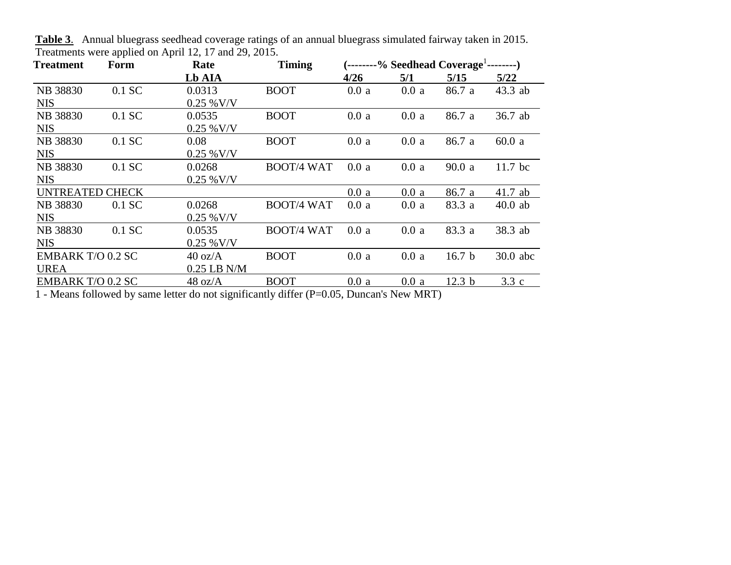| <b>Treatment</b>         | Form     | Rate              | <b>Timing</b>     | $(-$ -------% Seedhead Coverage <sup>1</sup> --------- |      |                   |           |
|--------------------------|----------|-------------------|-------------------|--------------------------------------------------------|------|-------------------|-----------|
|                          |          | Lb AIA            |                   | 4/26                                                   | 5/1  | 5/15              | 5/22      |
| NB 38830                 | 0.1 SC   | 0.0313            | <b>BOOT</b>       | 0.0a                                                   | 0.0a | 86.7 a            | $43.3$ ab |
| <b>NIS</b>               |          | $0.25\%$ V/V      |                   |                                                        |      |                   |           |
| NB 38830                 | $0.1$ SC | 0.0535            | <b>BOOT</b>       | 0.0a                                                   | 0.0a | 86.7 a            | 36.7 ab   |
| <b>NIS</b>               |          | $0.25\%$ V/V      |                   |                                                        |      |                   |           |
| NB 38830                 | 0.1 SC   | 0.08              | <b>BOOT</b>       | 0.0a                                                   | 0.0a | 86.7 a            | 60.0a     |
| <b>NIS</b>               |          | $0.25\%$ V/V      |                   |                                                        |      |                   |           |
| NB 38830                 | 0.1 SC   | 0.0268            | <b>BOOT/4 WAT</b> | 0.0a                                                   | 0.0a | 90.0a             | $11.7$ bc |
| <b>NIS</b>               |          | $0.25\%$ V/V      |                   |                                                        |      |                   |           |
| <b>UNTREATED CHECK</b>   |          |                   |                   | 0.0a                                                   | 0.0a | 86.7 a            | $41.7$ ab |
| <b>NB 38830</b>          | $0.1$ SC | 0.0268            | <b>BOOT/4 WAT</b> | 0.0a                                                   | 0.0a | 83.3 a            | $40.0$ ab |
| <b>NIS</b>               |          | $0.25\%$ V/V      |                   |                                                        |      |                   |           |
| <b>NB 38830</b>          | 0.1 SC   | 0.0535            | <b>BOOT/4 WAT</b> | 0.0a                                                   | 0.0a | 83.3 a            | 38.3 ab   |
| <b>NIS</b>               |          | $0.25\%$ V/V      |                   |                                                        |      |                   |           |
| <b>EMBARK T/O 0.2 SC</b> |          | $40 \text{ oz/A}$ | <b>BOOT</b>       | 0.0a                                                   | 0.0a | 16.7 <sub>b</sub> | 30.0 abc  |
| <b>UREA</b>              |          | $0.25$ LB N/M     |                   |                                                        |      |                   |           |
| <b>EMBARK T/O 0.2 SC</b> |          | $48 \text{ oz/A}$ | <b>BOOT</b>       | 0.0a                                                   | 0.0a | 12.3 <sub>b</sub> | 3.3c      |

**Table 3**. Annual bluegrass seedhead coverage ratings of an annual bluegrass simulated fairway taken in 2015. Treatments were applied on April 12, 17 and 29, 2015.

1 - Means followed by same letter do not significantly differ (P=0.05, Duncan's New MRT)